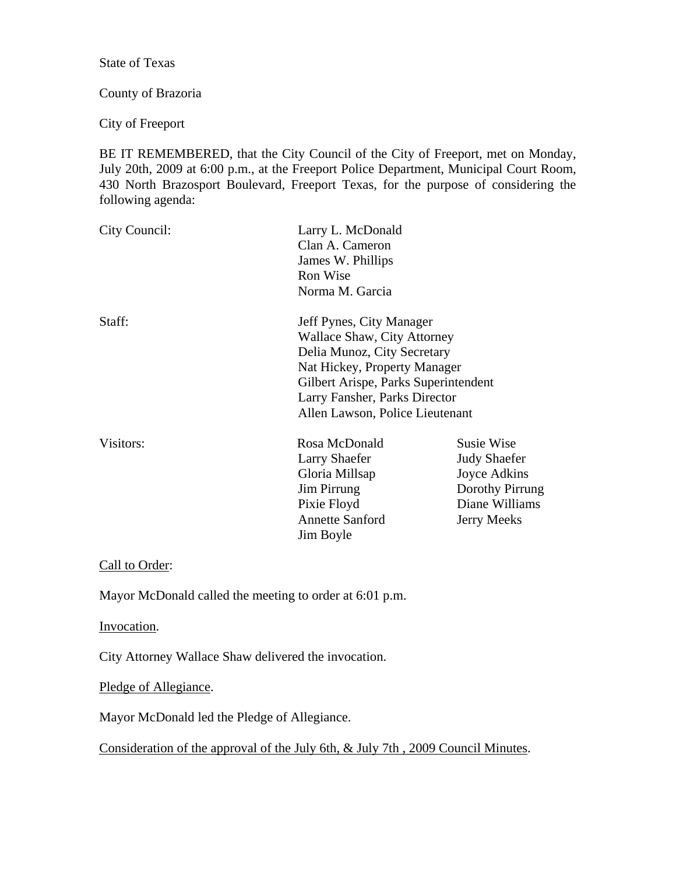State of Texas

#### County of Brazoria

City of Freeport

BE IT REMEMBERED, that the City Council of the City of Freeport, met on Monday, July 20th, 2009 at 6:00 p.m., at the Freeport Police Department, Municipal Court Room, 430 North Brazosport Boulevard, Freeport Texas, for the purpose of considering the following agenda:

| City Council: | Larry L. McDonald<br>Clan A. Cameron<br>James W. Phillips<br>Ron Wise<br>Norma M. Garcia                                                                                                                                                  |                                                                                                                     |
|---------------|-------------------------------------------------------------------------------------------------------------------------------------------------------------------------------------------------------------------------------------------|---------------------------------------------------------------------------------------------------------------------|
| Staff:        | Jeff Pynes, City Manager<br><b>Wallace Shaw, City Attorney</b><br>Delia Munoz, City Secretary<br>Nat Hickey, Property Manager<br>Gilbert Arispe, Parks Superintendent<br>Larry Fansher, Parks Director<br>Allen Lawson, Police Lieutenant |                                                                                                                     |
| Visitors:     | Rosa McDonald<br>Larry Shaefer<br>Gloria Millsap<br>Jim Pirrung<br>Pixie Floyd<br><b>Annette Sanford</b><br>Jim Boyle                                                                                                                     | <b>Susie Wise</b><br><b>Judy Shaefer</b><br>Joyce Adkins<br>Dorothy Pirrung<br>Diane Williams<br><b>Jerry Meeks</b> |

# Call to Order:

Mayor McDonald called the meeting to order at 6:01 p.m.

Invocation.

City Attorney Wallace Shaw delivered the invocation.

Pledge of Allegiance.

Mayor McDonald led the Pledge of Allegiance.

Consideration of the approval of the July 6th, & July 7th , 2009 Council Minutes.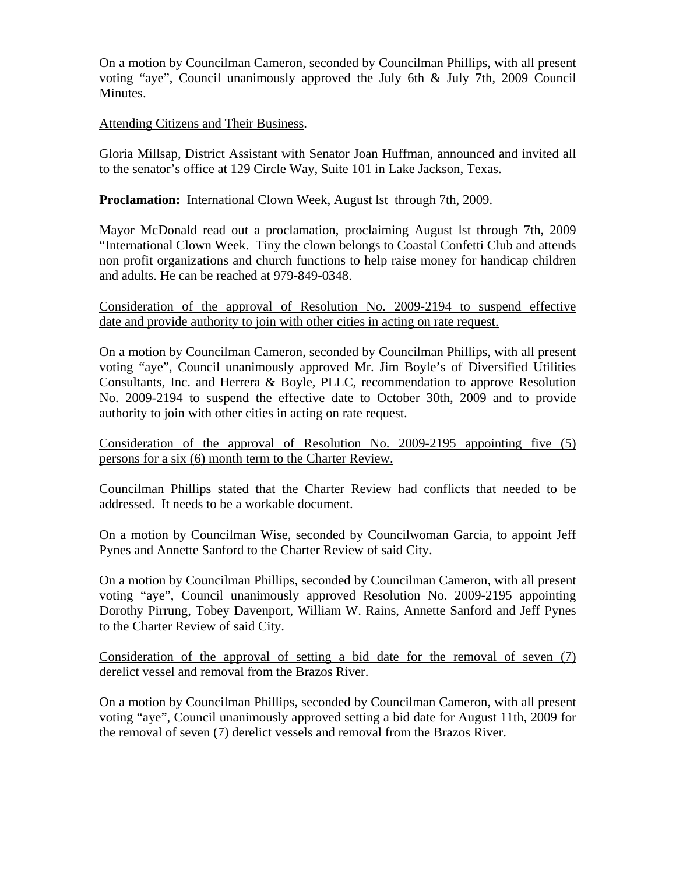On a motion by Councilman Cameron, seconded by Councilman Phillips, with all present voting "aye", Council unanimously approved the July 6th & July 7th, 2009 Council Minutes.

## Attending Citizens and Their Business.

Gloria Millsap, District Assistant with Senator Joan Huffman, announced and invited all to the senator's office at 129 Circle Way, Suite 101 in Lake Jackson, Texas.

## **Proclamation:** International Clown Week, August lst through 7th, 2009.

Mayor McDonald read out a proclamation, proclaiming August lst through 7th, 2009 "International Clown Week. Tiny the clown belongs to Coastal Confetti Club and attends non profit organizations and church functions to help raise money for handicap children and adults. He can be reached at 979-849-0348.

Consideration of the approval of Resolution No. 2009-2194 to suspend effective date and provide authority to join with other cities in acting on rate request.

On a motion by Councilman Cameron, seconded by Councilman Phillips, with all present voting "aye", Council unanimously approved Mr. Jim Boyle's of Diversified Utilities Consultants, Inc. and Herrera & Boyle, PLLC, recommendation to approve Resolution No. 2009-2194 to suspend the effective date to October 30th, 2009 and to provide authority to join with other cities in acting on rate request.

Consideration of the approval of Resolution No. 2009-2195 appointing five (5) persons for a six (6) month term to the Charter Review.

Councilman Phillips stated that the Charter Review had conflicts that needed to be addressed. It needs to be a workable document.

On a motion by Councilman Wise, seconded by Councilwoman Garcia, to appoint Jeff Pynes and Annette Sanford to the Charter Review of said City.

On a motion by Councilman Phillips, seconded by Councilman Cameron, with all present voting "aye", Council unanimously approved Resolution No. 2009-2195 appointing Dorothy Pirrung, Tobey Davenport, William W. Rains, Annette Sanford and Jeff Pynes to the Charter Review of said City.

Consideration of the approval of setting a bid date for the removal of seven (7) derelict vessel and removal from the Brazos River.

On a motion by Councilman Phillips, seconded by Councilman Cameron, with all present voting "aye", Council unanimously approved setting a bid date for August 11th, 2009 for the removal of seven (7) derelict vessels and removal from the Brazos River.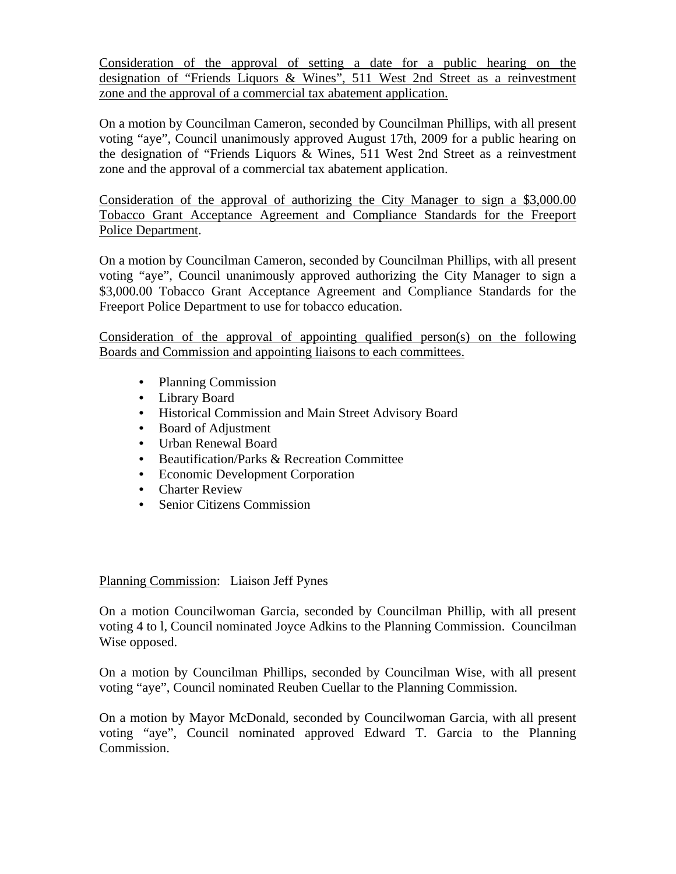Consideration of the approval of setting a date for a public hearing on the designation of "Friends Liquors & Wines", 511 West 2nd Street as a reinvestment zone and the approval of a commercial tax abatement application.

On a motion by Councilman Cameron, seconded by Councilman Phillips, with all present voting "aye", Council unanimously approved August 17th, 2009 for a public hearing on the designation of "Friends Liquors & Wines, 511 West 2nd Street as a reinvestment zone and the approval of a commercial tax abatement application.

Consideration of the approval of authorizing the City Manager to sign a \$3,000.00 Tobacco Grant Acceptance Agreement and Compliance Standards for the Freeport Police Department.

On a motion by Councilman Cameron, seconded by Councilman Phillips, with all present voting "aye", Council unanimously approved authorizing the City Manager to sign a \$3,000.00 Tobacco Grant Acceptance Agreement and Compliance Standards for the Freeport Police Department to use for tobacco education.

Consideration of the approval of appointing qualified person(s) on the following Boards and Commission and appointing liaisons to each committees.

- Planning Commission
- Library Board
- Historical Commission and Main Street Advisory Board
- Board of Adjustment
- Urban Renewal Board
- Beautification/Parks & Recreation Committee
- Economic Development Corporation
- Charter Review
- Senior Citizens Commission

Planning Commission: Liaison Jeff Pynes

On a motion Councilwoman Garcia, seconded by Councilman Phillip, with all present voting 4 to l, Council nominated Joyce Adkins to the Planning Commission. Councilman Wise opposed.

On a motion by Councilman Phillips, seconded by Councilman Wise, with all present voting "aye", Council nominated Reuben Cuellar to the Planning Commission.

On a motion by Mayor McDonald, seconded by Councilwoman Garcia, with all present voting "aye", Council nominated approved Edward T. Garcia to the Planning Commission.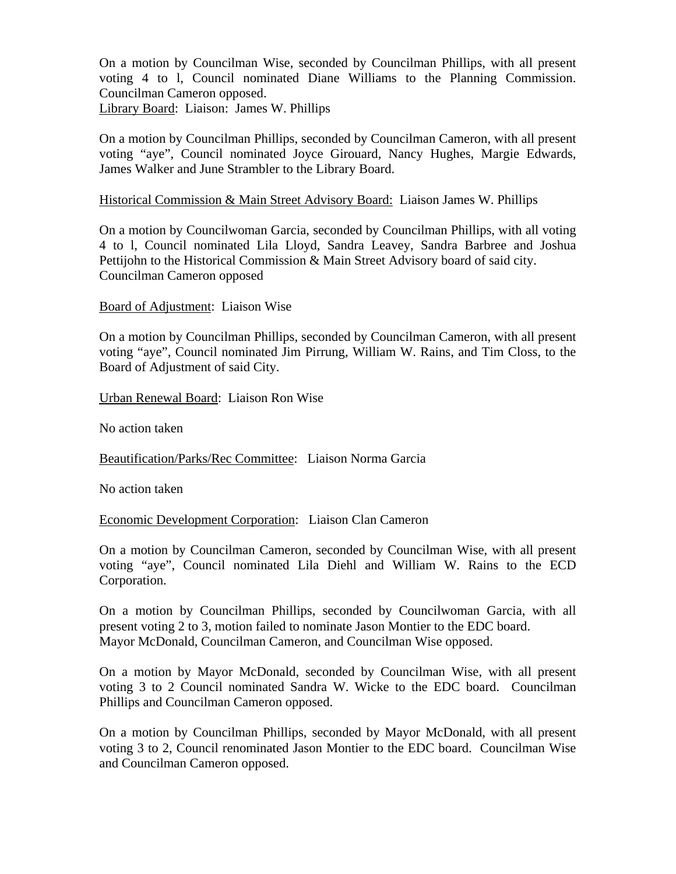On a motion by Councilman Wise, seconded by Councilman Phillips, with all present voting 4 to l, Council nominated Diane Williams to the Planning Commission. Councilman Cameron opposed. Library Board: Liaison: James W. Phillips

On a motion by Councilman Phillips, seconded by Councilman Cameron, with all present voting "aye", Council nominated Joyce Girouard, Nancy Hughes, Margie Edwards, James Walker and June Strambler to the Library Board.

## Historical Commission & Main Street Advisory Board: Liaison James W. Phillips

On a motion by Councilwoman Garcia, seconded by Councilman Phillips, with all voting 4 to l, Council nominated Lila Lloyd, Sandra Leavey, Sandra Barbree and Joshua Pettijohn to the Historical Commission & Main Street Advisory board of said city. Councilman Cameron opposed

Board of Adjustment: Liaison Wise

On a motion by Councilman Phillips, seconded by Councilman Cameron, with all present voting "aye", Council nominated Jim Pirrung, William W. Rains, and Tim Closs, to the Board of Adjustment of said City.

Urban Renewal Board: Liaison Ron Wise

No action taken

Beautification/Parks/Rec Committee: Liaison Norma Garcia

No action taken

Economic Development Corporation: Liaison Clan Cameron

On a motion by Councilman Cameron, seconded by Councilman Wise, with all present voting "aye", Council nominated Lila Diehl and William W. Rains to the ECD Corporation.

On a motion by Councilman Phillips, seconded by Councilwoman Garcia, with all present voting 2 to 3, motion failed to nominate Jason Montier to the EDC board. Mayor McDonald, Councilman Cameron, and Councilman Wise opposed.

On a motion by Mayor McDonald, seconded by Councilman Wise, with all present voting 3 to 2 Council nominated Sandra W. Wicke to the EDC board. Councilman Phillips and Councilman Cameron opposed.

On a motion by Councilman Phillips, seconded by Mayor McDonald, with all present voting 3 to 2, Council renominated Jason Montier to the EDC board. Councilman Wise and Councilman Cameron opposed.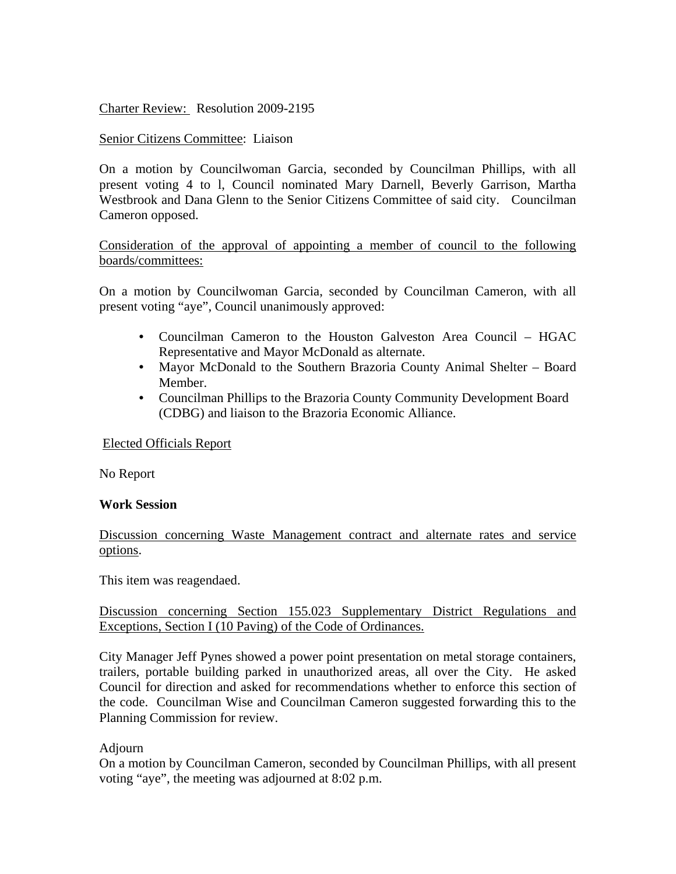Charter Review: Resolution 2009-2195

# Senior Citizens Committee: Liaison

On a motion by Councilwoman Garcia, seconded by Councilman Phillips, with all present voting 4 to l, Council nominated Mary Darnell, Beverly Garrison, Martha Westbrook and Dana Glenn to the Senior Citizens Committee of said city. Councilman Cameron opposed.

Consideration of the approval of appointing a member of council to the following boards/committees:

On a motion by Councilwoman Garcia, seconded by Councilman Cameron, with all present voting "aye", Council unanimously approved:

- Councilman Cameron to the Houston Galveston Area Council HGAC Representative and Mayor McDonald as alternate.
- Mayor McDonald to the Southern Brazoria County Animal Shelter Board Member.
- Councilman Phillips to the Brazoria County Community Development Board (CDBG) and liaison to the Brazoria Economic Alliance.

Elected Officials Report

No Report

#### **Work Session**

Discussion concerning Waste Management contract and alternate rates and service options.

This item was reagendaed.

#### Discussion concerning Section 155.023 Supplementary District Regulations and Exceptions, Section I (10 Paving) of the Code of Ordinances.

City Manager Jeff Pynes showed a power point presentation on metal storage containers, trailers, portable building parked in unauthorized areas, all over the City. He asked Council for direction and asked for recommendations whether to enforce this section of the code. Councilman Wise and Councilman Cameron suggested forwarding this to the Planning Commission for review.

# Adjourn

On a motion by Councilman Cameron, seconded by Councilman Phillips, with all present voting "aye", the meeting was adjourned at 8:02 p.m.